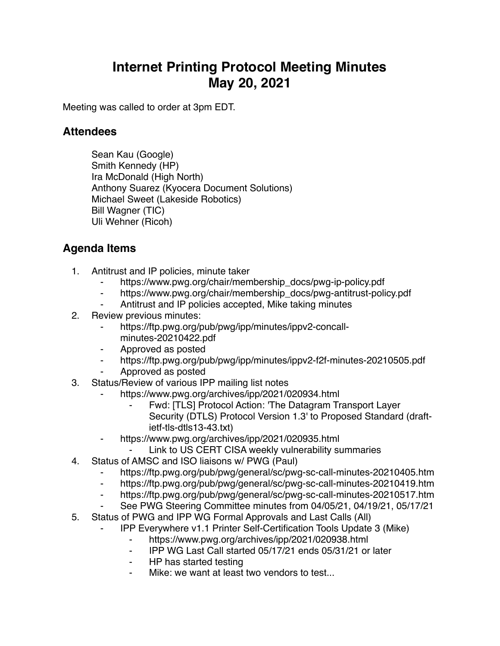## **Internet Printing Protocol Meeting Minutes May 20, 2021**

Meeting was called to order at 3pm EDT.

## **Attendees**

Sean Kau (Google) Smith Kennedy (HP) Ira McDonald (High North) Anthony Suarez (Kyocera Document Solutions) Michael Sweet (Lakeside Robotics) Bill Wagner (TIC) Uli Wehner (Ricoh)

## **Agenda Items**

- 1. Antitrust and IP policies, minute taker
	- ⁃ https://www.pwg.org/chair/membership\_docs/pwg-ip-policy.pdf
	- ⁃ https://www.pwg.org/chair/membership\_docs/pwg-antitrust-policy.pdf
	- Antitrust and IP policies accepted, Mike taking minutes
- 2. Review previous minutes:
	- https://ftp.pwg.org/pub/pwg/ipp/minutes/ippv2-concallminutes-20210422.pdf
	- ⁃ Approved as posted
	- ⁃ https://ftp.pwg.org/pub/pwg/ipp/minutes/ippv2-f2f-minutes-20210505.pdf
	- ⁃ Approved as posted
- 3. Status/Review of various IPP mailing list notes
	- https://www.pwg.org/archives/ipp/2021/020934.html
		- Fwd: [TLS] Protocol Action: 'The Datagram Transport Layer Security (DTLS) Protocol Version 1.3' to Proposed Standard (draftietf-tls-dtls13-43.txt)
	- https://www.pwg.org/archives/ipp/2021/020935.html
		- Link to US CERT CISA weekly vulnerability summaries
- 4. Status of AMSC and ISO liaisons w/ PWG (Paul)
	- ⁃ https://ftp.pwg.org/pub/pwg/general/sc/pwg-sc-call-minutes-20210405.htm
	- ⁃ https://ftp.pwg.org/pub/pwg/general/sc/pwg-sc-call-minutes-20210419.htm
	- ⁃ https://ftp.pwg.org/pub/pwg/general/sc/pwg-sc-call-minutes-20210517.htm
	- See PWG Steering Committee minutes from 04/05/21, 04/19/21, 05/17/21
- 5. Status of PWG and IPP WG Formal Approvals and Last Calls (All)
	- ⁃ IPP Everywhere v1.1 Printer Self-Certification Tools Update 3 (Mike)
		- ⁃ https://www.pwg.org/archives/ipp/2021/020938.html
		- ⁃ IPP WG Last Call started 05/17/21 ends 05/31/21 or later
		- ⁃ HP has started testing
		- Mike: we want at least two vendors to test...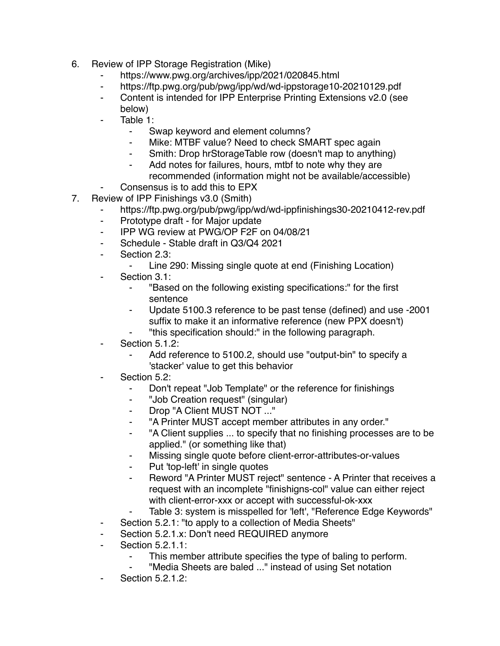- 6. Review of IPP Storage Registration (Mike)
	- ⁃ https://www.pwg.org/archives/ipp/2021/020845.html
	- https://ftp.pwg.org/pub/pwg/ipp/wd/wd-ippstorage10-20210129.pdf
	- ⁃ Content is intended for IPP Enterprise Printing Extensions v2.0 (see below)
	- Table 1:
		- ⁃ Swap keyword and element columns?
		- Mike: MTBF value? Need to check SMART spec again
		- Smith: Drop hrStorageTable row (doesn't map to anything)
		- ⁃ Add notes for failures, hours, mtbf to note why they are recommended (information might not be available/accessible)
	- Consensus is to add this to EPX
- 7. Review of IPP Finishings v3.0 (Smith)
	- https://ftp.pwg.org/pub/pwg/ipp/wd/wd-ippfinishings30-20210412-rev.pdf
	- ⁃ Prototype draft for Major update
	- ⁃ IPP WG review at PWG/OP F2F on 04/08/21
	- Schedule Stable draft in Q3/Q4 2021
	- Section 2.3:
		- ⁃ Line 290: Missing single quote at end (Finishing Location)
	- ⁃ Section 3.1:
		- ⁃ "Based on the following existing specifications:" for the first sentence
		- Update 5100.3 reference to be past tense (defined) and use -2001 suffix to make it an informative reference (new PPX doesn't)
		- "this specification should:" in the following paragraph.
	- Section 5.1.2:
		- ⁃ Add reference to 5100.2, should use "output-bin" to specify a 'stacker' value to get this behavior
	- Section 5.2:
		- Don't repeat "Job Template" or the reference for finishings
		- ⁃ "Job Creation request" (singular)
		- ⁃ Drop "A Client MUST NOT ..."
		- "A Printer MUST accept member attributes in any order."
		- ⁃ "A Client supplies ... to specify that no finishing processes are to be applied." (or something like that)
		- Missing single quote before client-error-attributes-or-values
		- ⁃ Put 'top-left' in single quotes
		- Reword "A Printer MUST reject" sentence A Printer that receives a request with an incomplete "finishigns-col" value can either reject with client-error-xxx or accept with successful-ok-xxx
		- Table 3: system is misspelled for 'left', "Reference Edge Keywords"
	- ⁃ Section 5.2.1: "to apply to a collection of Media Sheets"
	- Section 5.2.1.x: Don't need REQUIRED anymore
	- **Section 5.2.1.1:** 
		- This member attribute specifies the type of baling to perform.
		- ⁃ "Media Sheets are baled ..." instead of using Set notation
	- **Section 5.2.1.2:**